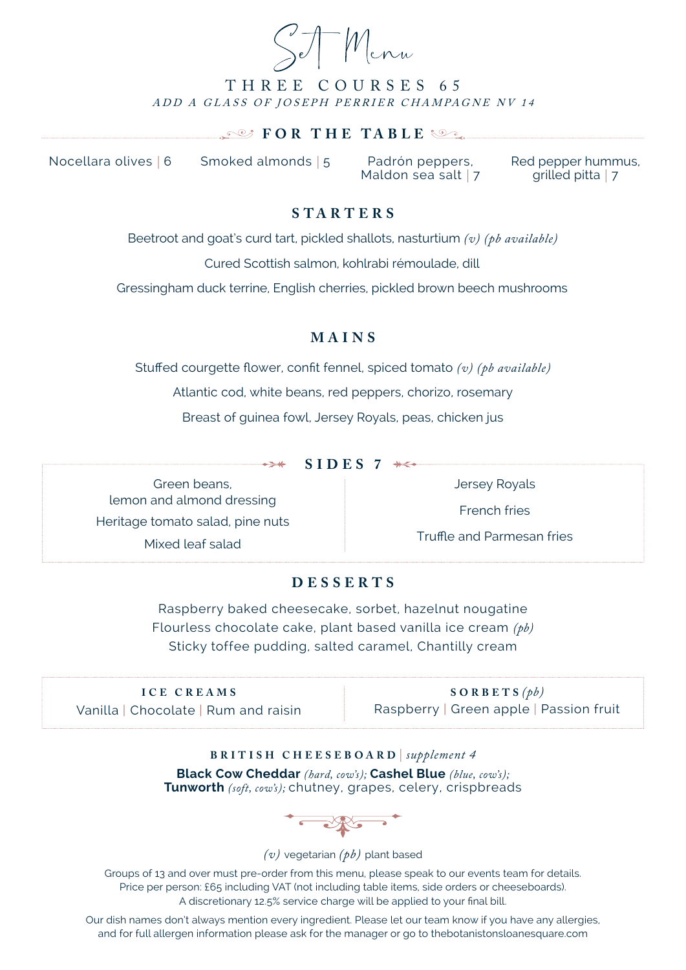Wenn

## THREE COURSES 65 ADD A GLASS OF JOSEPH PERRIER CHAMPAGNE NV 14

#### **FOR THE TABLE**

Nocellara olives *|* 6 Smoked almonds *|* 5 Padrón peppers,

Maldon sea salt *|* 7

Red pepper hummus, grilled pitta *|* 7

## **S TA RT ERS**

Beetroot and goat's curd tart, pickled shallots, nasturtium *(v) (pb available)*

Cured Scottish salmon, kohlrabi rémoulade, dill

Gressingham duck terrine, English cherries, pickled brown beech mushrooms

### **MAINS**

Stuffed courgette flower, confit fennel, spiced tomato *(v) (pb available)*

Atlantic cod, white beans, red peppers, chorizo, rosemary

Breast of guinea fowl, Jersey Royals, peas, chicken jus

 $\rightarrow$  **SIDES** 7  $\rightarrow$ 

Green beans, lemon and almond dressing Heritage tomato salad, pine nuts Mixed leaf salad

Jersey Royals

French fries

Truffle and Parmesan fries

#### **DESSERTS**

Raspberry baked cheesecake, sorbet, hazelnut nougatine Flourless chocolate cake, plant based vanilla ice cream *(pb)* Sticky toffee pudding, salted caramel, Chantilly cream

| ICE CREAMS                           | $SORBETS(\phi b)$                       |
|--------------------------------------|-----------------------------------------|
| Vanilla   Chocolate   Rum and raisin | Raspberry   Green apple   Passion fruit |

# **BRITISH CHEESEBOARD** *| supplement 4* **Black Cow Cheddar** *(hard, cow's);* **Cashel Blue** *(blue, cow's);*

**Tunworth** *(soft, cow's);* chutney, grapes, celery, crispbreads



#### *(v)* vegetarian *(pb)* plant based

Groups of 13 and over must pre-order from this menu, please speak to our events team for details. Price per person: £65 including VAT (not including table items, side orders or cheeseboards). A discretionary 12.5% service charge will be applied to your final bill.

Our dish names don't always mention every ingredient. Please let our team know if you have any allergies, and for full allergen information please ask for the manager or go to thebotanistonsloanesquare.com